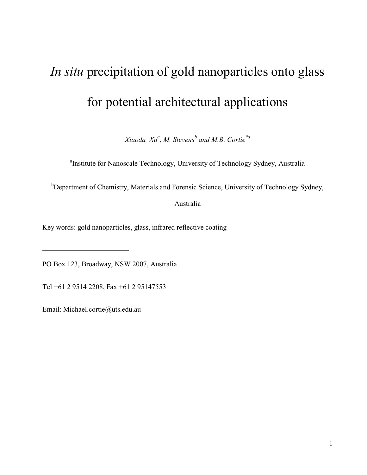# *In situ* precipitation of gold nanoparticles onto glass for potential architectural applications

*Xiaoda Xu<sup>a</sup> , M. Stevens<sup>b</sup> and M.B. Cortie\*a*

<sup>a</sup>Institute for Nanoscale Technology, University of Technology Sydney, Australia

<sup>b</sup>Department of Chemistry, Materials and Forensic Science, University of Technology Sydney,

Australia

Key words: gold nanoparticles, glass, infrared reflective coating

PO Box 123, Broadway, NSW 2007, Australia

Tel +61 2 9514 2208, Fax +61 2 95147553

Email: Michael.cortie@uts.edu.au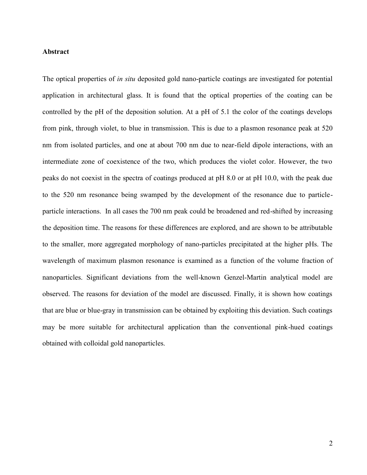### **Abstract**

The optical properties of *in situ* deposited gold nano-particle coatings are investigated for potential application in architectural glass. It is found that the optical properties of the coating can be controlled by the pH of the deposition solution. At a pH of 5.1 the color of the coatings develops from pink, through violet, to blue in transmission. This is due to a plasmon resonance peak at 520 nm from isolated particles, and one at about 700 nm due to near-field dipole interactions, with an intermediate zone of coexistence of the two, which produces the violet color. However, the two peaks do not coexist in the spectra of coatings produced at pH 8.0 or at pH 10.0, with the peak due to the 520 nm resonance being swamped by the development of the resonance due to particleparticle interactions. In all cases the 700 nm peak could be broadened and red-shifted by increasing the deposition time. The reasons for these differences are explored, and are shown to be attributable to the smaller, more aggregated morphology of nano-particles precipitated at the higher pHs. The wavelength of maximum plasmon resonance is examined as a function of the volume fraction of nanoparticles. Significant deviations from the well-known Genzel-Martin analytical model are observed. The reasons for deviation of the model are discussed. Finally, it is shown how coatings that are blue or blue-gray in transmission can be obtained by exploiting this deviation. Such coatings may be more suitable for architectural application than the conventional pink-hued coatings obtained with colloidal gold nanoparticles.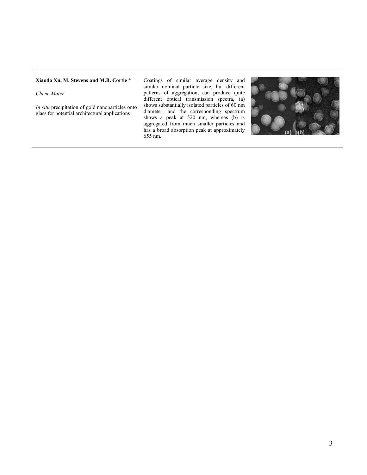#### **Xiaoda Xu, M. Stevens and M.B. Cortie \***

*Chem. Mater.*

*In situ* precipitation of gold nanoparticles onto glass for potential architectural applications

Coatings of similar average density and similar nominal particle size, but different patterns of aggregation, can produce quite different optical transmission spectra, (a) shows substantially isolated particles of 60 nm diameter, and the corresponding spectrum shows a peak at 520 nm, whereas (b) is aggregated from much smaller particles and has a broad absorption peak at approximately 655 nm.

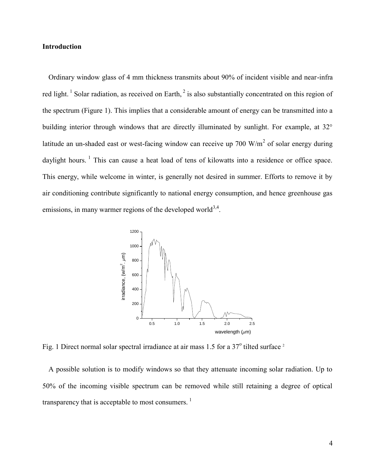# **Introduction**

<span id="page-3-0"></span>Ordinary window glass of 4 mm thickness transmits about 90% of incident visible and near-infra red light.<sup>1</sup> Solar radiation, as received on Earth,<sup>2</sup> is also substantially concentrated on this region of the spectrum (Figure 1). This implies that a considerable amount of energy can be transmitted into a building interior through windows that are directly illuminated by sunlight. For example, at 32° latitude an un-shaded east or west-facing window can receive up 700  $W/m<sup>2</sup>$  of solar energy during daylight hours.  $1$  This can cause a heat load of tens of kilowatts into a residence or office space. This energy, while welcome in winter, is generally not desired in summer. Efforts to remove it by air conditioning contribute significantly to national energy consumption, and hence greenhouse gas emissions, in many warmer regions of the developed world<sup>3,4</sup>.



<span id="page-3-1"></span>Fig. 1 Direct normal solar spectral irradiance at air mass 1.5 for a 37° tilted surface <sup>2</sup>

A possible solution is to modify windows so that they attenuate incoming solar radiation. Up to 50% of the incoming visible spectrum can be removed while still retaining a degree of optical transparency that is acceptable to most consumers.  $<sup>1</sup>$  $<sup>1</sup>$  $<sup>1</sup>$ </sup>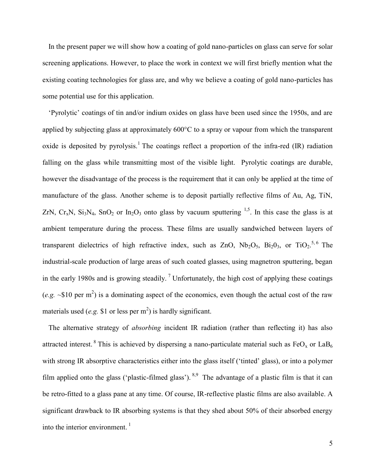In the present paper we will show how a coating of gold nano-particles on glass can serve for solar screening applications. However, to place the work in context we will first briefly mention what the existing coating technologies for glass are, and why we believe a coating of gold nano-particles has some potential use for this application.

<span id="page-4-0"></span>'Pyrolytic' coatings of tin and/or indium oxides on glass have been used since the 1950s, and are applied by subjecting glass at approximately 600°C to a spray or vapour from which the transparent oxide is deposited by pyrolysis.<sup>[1](#page-3-0)</sup> The coatings reflect a proportion of the infra-red  $(IR)$  radiation falling on the glass while transmitting most of the visible light. Pyrolytic coatings are durable, however the disadvantage of the process is the requirement that it can only be applied at the time of manufacture of the glass. Another scheme is to deposit partially reflective films of Au, Ag, TiN, ZrN,  $Cr_xN$ ,  $Si_3N_4$ ,  $SnO_2$  or  $In_2O_3$  onto glass by vacuum sputtering <sup>[1,](#page-3-0)5</sup>. In this case the glass is at ambient temperature during the process. These films are usually sandwiched between layers of transparent dielectrics of high refractive index, such as ZnO,  $Nb_2O_5$ ,  $Bi_2O_3$ , or  $TiO_2$ .<sup>[5,](#page-4-0)6</sup> The industrial-scale production of large areas of such coated glasses, using magnetron sputtering, began in the early 1980s and is growing steadily.<sup>7</sup> Unfortunately, the high cost of applying these coatings (*e.g.*  $\sim$ \$10 per m<sup>2</sup>) is a dominating aspect of the economics, even though the actual cost of the raw materials used (*e.g.* \$1 or less per  $m^2$ ) is hardly significant.

<span id="page-4-1"></span>The alternative strategy of *absorbing* incident IR radiation (rather than reflecting it) has also attracted interest. <sup>8</sup> This is achieved by dispersing a nano-particulate material such as FeO<sub>x</sub> or LaB<sub>6</sub> with strong IR absorptive characteristics either into the glass itself ('tinted' glass), or into a polymer film applied onto the glass ('plastic-filmed glass').  $8.9$  The advantage of a plastic film is that it can be retro-fitted to a glass pane at any time. Of course, IR-reflective plastic films are also available. A significant drawback to IR absorbing systems is that they shed about 50% of their absorbed energy into the interior environment.  $\frac{1}{1}$  $\frac{1}{1}$  $\frac{1}{1}$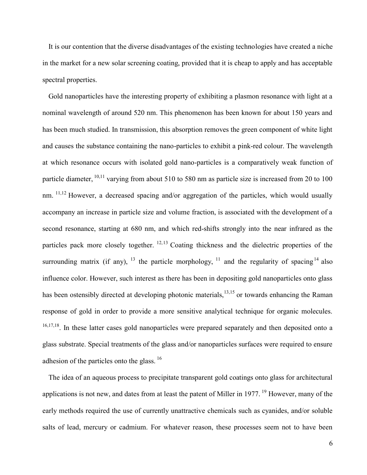It is our contention that the diverse disadvantages of the existing technologies have created a niche in the market for a new solar screening coating, provided that it is cheap to apply and has acceptable spectral properties.

<span id="page-5-1"></span><span id="page-5-0"></span>Gold nanoparticles have the interesting property of exhibiting a plasmon resonance with light at a nominal wavelength of around 520 nm. This phenomenon has been known for about 150 years and has been much studied. In transmission, this absorption removes the green component of white light and causes the substance containing the nano-particles to exhibit a pink-red colour. The wavelength at which resonance occurs with isolated gold nano-particles is a comparatively weak function of particle diameter, <sup>10,11</sup> varying from about 510 to 580 nm as particle size is increased from 20 to 100 nm.  $11,12$  $11,12$  However, a decreased spacing and/or aggregation of the particles, which would usually accompany an increase in particle size and volume fraction, is associated with the development of a second resonance, starting at 680 nm, and which red-shifts strongly into the near infrared as the particles pack more closely together.  $12,13$  $12,13$  Coating thickness and the dielectric properties of the surrounding matrix (if any),  $^{13}$  $^{13}$  $^{13}$  the particle morphology,  $^{11}$  $^{11}$  $^{11}$  and the regularity of spacing  $^{14}$  also influence color. However, such interest as there has been in depositing gold nanoparticles onto glass has been ostensibly directed at developing photonic materials,<sup>[13,1](#page-5-2)5</sup> or towards enhancing the Raman response of gold in order to provide a more sensitive analytical technique for organic molecules. <sup>16,17,18</sup>. In these latter cases gold nanoparticles were prepared separately and then deposited onto a glass substrate. Special treatments of the glass and/or nanoparticles surfaces were required to ensure adhesion of the particles onto the glass.  $16$ 

<span id="page-5-5"></span><span id="page-5-4"></span><span id="page-5-3"></span><span id="page-5-2"></span>The idea of an aqueous process to precipitate transparent gold coatings onto glass for architectural applications is not new, and dates from at least the patent of Miller in 1977. <sup>19</sup> However, many of the early methods required the use of currently unattractive chemicals such as cyanides, and/or soluble salts of lead, mercury or cadmium. For whatever reason, these processes seem not to have been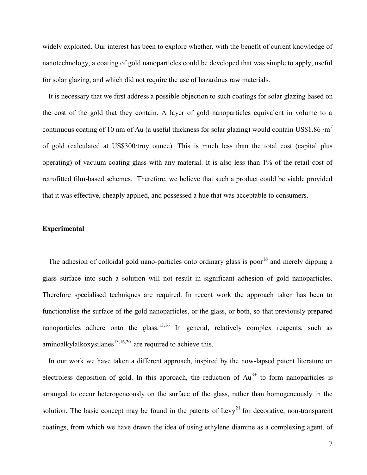widely exploited. Our interest has been to explore whether, with the benefit of current knowledge of nanotechnology, a coating of gold nanoparticles could be developed that was simple to apply, useful for solar glazing, and which did not require the use of hazardous raw materials.

It is necessary that we first address a possible objection to such coatings for solar glazing based on the cost of the gold that they contain. A layer of gold nanoparticles equivalent in volume to a continuous coating of 10 nm of Au (a useful thickness for solar glazing) would contain US\$1.86  $/m<sup>2</sup>$ of gold (calculated at US\$300/troy ounce). This is much less than the total cost (capital plus operating) of vacuum coating glass with any material. It is also less than 1% of the retail cost of retrofitted film-based schemes. Therefore, we believe that such a product could be viable provided that it was effective, cheaply applied, and possessed a hue that was acceptable to consumers.

# **Experimental**

The adhesion of colloidal gold nano-particles onto ordinary glass is poor<sup>[16](#page-5-3)</sup> and merely dipping a glass surface into such a solution will not result in significant adhesion of gold nanoparticles. Therefore specialised techniques are required. In recent work the approach taken has been to functionalise the surface of the gold nanoparticles, or the glass, or both, so that previously prepared nanoparticles adhere onto the glass.<sup>[13,](#page-5-2)[16](#page-5-3)</sup> In general, relatively complex reagents, such as aminoalkylalkoxysilanes $13,16,20$  $13,16,20$  $13,16,20$  are required to achieve this.

In our work we have taken a different approach, inspired by the now-lapsed patent literature on electroless deposition of gold. In this approach, the reduction of  $Au^{3+}$  to form nanoparticles is arranged to occur heterogeneously on the surface of the glass, rather than homogeneously in the solution. The basic concept may be found in the patents of Levy<sup>21</sup> for decorative, non-transparent coatings, from which we have drawn the idea of using ethylene diamine as a complexing agent, of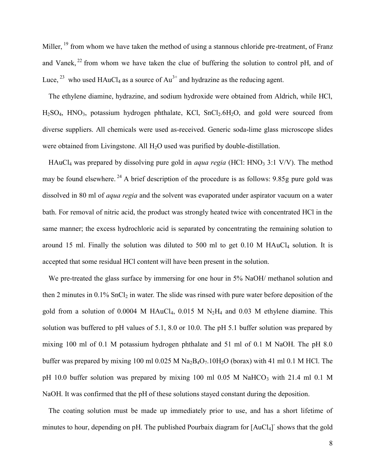Miller, <sup>[19](#page-5-4)</sup> from whom we have taken the method of using a stannous chloride pre-treatment, of Franz and Vanek,  $^{22}$  from whom we have taken the clue of buffering the solution to control pH, and of Luce,  $^{23}$  who used HAuCl<sub>4</sub> as a source of Au<sup>3+</sup> and hydrazine as the reducing agent.

The ethylene diamine, hydrazine, and sodium hydroxide were obtained from Aldrich, while HCl,  $H<sub>2</sub>SO<sub>4</sub>$ ,  $HNO<sub>3</sub>$ , potassium hydrogen phthalate, KCl, SnCl<sub>2</sub>.6H<sub>2</sub>O, and gold were sourced from diverse suppliers. All chemicals were used as-received. Generic soda-lime glass microscope slides were obtained from Livingstone. All  $H_2O$  used was purified by double-distillation.

HAuCl<sub>4</sub> was prepared by dissolving pure gold in *aqua regia* (HCl: HNO<sub>3</sub> 3:1 V/V). The method may be found elsewhere. <sup>24</sup> A brief description of the procedure is as follows: 9.85g pure gold was dissolved in 80 ml of *aqua regia* and the solvent was evaporated under aspirator vacuum on a water bath. For removal of nitric acid, the product was strongly heated twice with concentrated HCl in the same manner; the excess hydrochloric acid is separated by concentrating the remaining solution to around 15 ml. Finally the solution was diluted to 500 ml to get  $0.10$  M HAuCl<sub>4</sub> solution. It is accepted that some residual HCl content will have been present in the solution.

We pre-treated the glass surface by immersing for one hour in 5% NaOH/ methanol solution and then 2 minutes in  $0.1\%$  SnCl<sub>2</sub> in water. The slide was rinsed with pure water before deposition of the gold from a solution of 0.0004 M HAuCl<sub>4</sub>, 0.015 M  $N_2H_4$  and 0.03 M ethylene diamine. This solution was buffered to pH values of 5.1, 8.0 or 10.0. The pH 5.1 buffer solution was prepared by mixing 100 ml of 0.1 M potassium hydrogen phthalate and 51 ml of 0.1 M NaOH. The pH 8.0 buffer was prepared by mixing 100 ml 0.025 M  $Na<sub>2</sub>B<sub>4</sub>O<sub>7</sub>$ .10H<sub>2</sub>O (borax) with 41 ml 0.1 M HCl. The pH 10.0 buffer solution was prepared by mixing 100 ml 0.05 M NaHCO<sub>3</sub> with 21.4 ml 0.1 M NaOH. It was confirmed that the pH of these solutions stayed constant during the deposition.

The coating solution must be made up immediately prior to use, and has a short lifetime of minutes to hour, depending on pH. The published Pourbaix diagram for [AuCl<sub>4</sub>] shows that the gold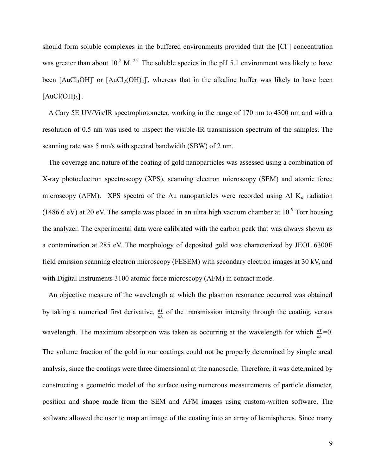should form soluble complexes in the buffered environments provided that the [Cl<sup>-</sup>] concentration was greater than about  $10^{-2}$  M.<sup>25</sup> The soluble species in the pH 5.1 environment was likely to have been  $[AuCl<sub>3</sub>OH]$ <sup>-</sup> or  $[AuCl<sub>2</sub>(OH)<sub>2</sub>]$ <sup>-</sup>, whereas that in the alkaline buffer was likely to have been  $[AuCl(OH)<sub>3</sub>].$ 

A Cary 5E UV/Vis/IR spectrophotometer, working in the range of 170 nm to 4300 nm and with a resolution of 0.5 nm was used to inspect the visible-IR transmission spectrum of the samples. The scanning rate was 5 nm/s with spectral bandwidth (SBW) of 2 nm.

The coverage and nature of the coating of gold nanoparticles was assessed using a combination of X-ray photoelectron spectroscopy (XPS), scanning electron microscopy (SEM) and atomic force microscopy (AFM). XPS spectra of the Au nanoparticles were recorded using Al  $K_{\alpha}$  radiation (1486.6 eV) at 20 eV. The sample was placed in an ultra high vacuum chamber at  $10^{-9}$  Torr housing the analyzer. The experimental data were calibrated with the carbon peak that was always shown as a contamination at 285 eV. The morphology of deposited gold was characterized by JEOL 6300F field emission scanning electron microscopy (FESEM) with secondary electron images at 30 kV, and with Digital Instruments 3100 atomic force microscopy (AFM) in contact mode.

An objective measure of the wavelength at which the plasmon resonance occurred was obtained by taking a numerical first derivative,  $\frac{dT}{d\lambda}$  $\frac{dT}{dT}$  of the transmission intensity through the coating, versus wavelength. The maximum absorption was taken as occurring at the wavelength for which  $\frac{dT}{d\lambda}$  $\frac{dT}{r}$ =0. The volume fraction of the gold in our coatings could not be properly determined by simple areal analysis, since the coatings were three dimensional at the nanoscale. Therefore, it was determined by constructing a geometric model of the surface using numerous measurements of particle diameter, position and shape made from the SEM and AFM images using custom-written software. The software allowed the user to map an image of the coating into an array of hemispheres. Since many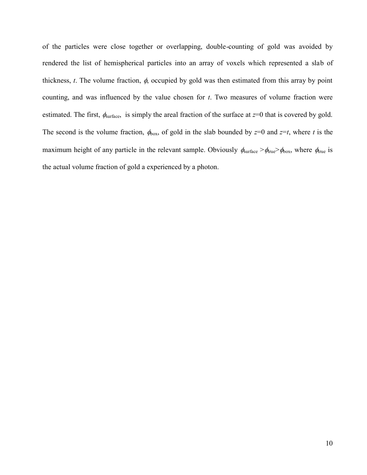of the particles were close together or overlapping, double-counting of gold was avoided by rendered the list of hemispherical particles into an array of voxels which represented a slab of thickness,  $t$ . The volume fraction,  $\phi$ , occupied by gold was then estimated from this array by point counting, and was influenced by the value chosen for *t*. Two measures of volume fraction were estimated. The first,  $\phi_{\text{surface}}$ , is simply the areal fraction of the surface at  $z=0$  that is covered by gold. The second is the volume fraction,  $\phi_{\text{box}}$ , of gold in the slab bounded by  $z=0$  and  $z=t$ , where *t* is the maximum height of any particle in the relevant sample. Obviously  $\phi_{\text{surface}} > \phi_{\text{true}} > \phi_{\text{box}}$ , where  $\phi_{\text{true}}$  is the actual volume fraction of gold a experienced by a photon.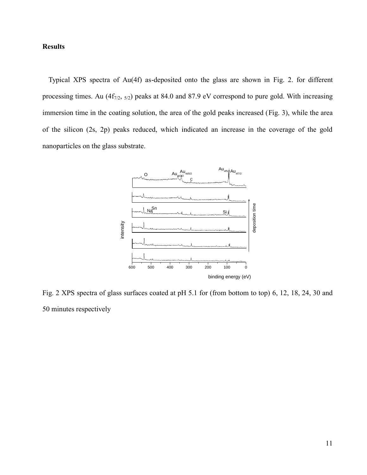# **Results**

Typical XPS spectra of Au(4f) as-deposited onto the glass are shown in Fig. 2. for different processing times. Au  $(4f_{7/2, 5/2})$  peaks at 84.0 and 87.9 eV correspond to pure gold. With increasing immersion time in the coating solution, the area of the gold peaks increased (Fig. 3), while the area of the silicon (2s, 2p) peaks reduced, which indicated an increase in the coverage of the gold nanoparticles on the glass substrate.



<span id="page-10-0"></span>Fig. 2 XPS spectra of glass surfaces coated at pH 5.1 for (from bottom to top) 6, 12, 18, 24, 30 and 50 minutes respectively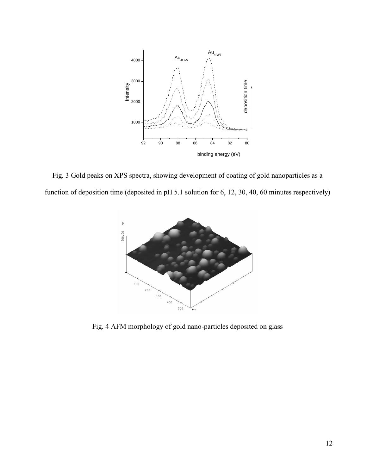

<span id="page-11-0"></span>Fig. 3 Gold peaks on XPS spectra, showing development of coating of gold nanoparticles as a function of deposition time (deposited in pH 5.1 solution for 6, 12, 30, 40, 60 minutes respectively)



<span id="page-11-1"></span>Fig. 4 AFM morphology of gold nano-particles deposited on glass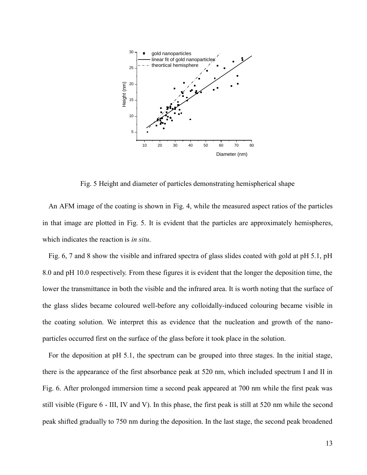

Fig. 5 Height and diameter of particles demonstrating hemispherical shape

<span id="page-12-0"></span>An AFM image of the coating is shown in Fig. 4, while the measured aspect ratios of the particles in that image are plotted in Fig. 5. It is evident that the particles are approximately hemispheres, which indicates the reaction is *in situ*.

Fig. 6, 7 and 8 show the visible and infrared spectra of glass slides coated with gold at pH 5.1, pH 8.0 and pH 10.0 respectively. From these figures it is evident that the longer the deposition time, the lower the transmittance in both the visible and the infrared area. It is worth noting that the surface of the glass slides became coloured well-before any colloidally-induced colouring became visible in the coating solution. We interpret this as evidence that the nucleation and growth of the nanoparticles occurred first on the surface of the glass before it took place in the solution.

For the deposition at pH 5.1, the spectrum can be grouped into three stages. In the initial stage, there is the appearance of the first absorbance peak at 520 nm, which included spectrum I and II in Fig. 6. After prolonged immersion time a second peak appeared at 700 nm while the first peak was still visible (Figure 6 - III, IV and V). In this phase, the first peak is still at 520 nm while the second peak shifted gradually to 750 nm during the deposition. In the last stage, the second peak broadened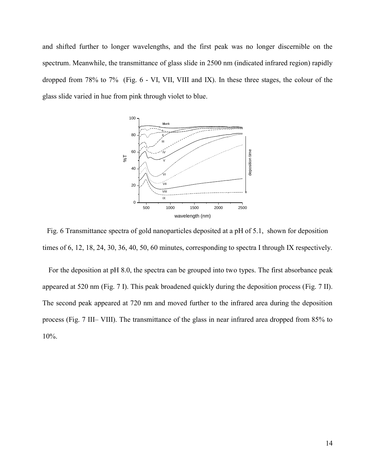and shifted further to longer wavelengths, and the first peak was no longer discernible on the spectrum. Meanwhile, the transmittance of glass slide in 2500 nm (indicated infrared region) rapidly dropped from 78% to 7% (Fig. 6 - VI, VII, VIII and IX). In these three stages, the colour of the glass slide varied in hue from pink through violet to blue.



<span id="page-13-0"></span>Fig. 6 Transmittance spectra of gold nanoparticles deposited at a pH of 5.1, shown for deposition times of 6, 12, 18, 24, 30, 36, 40, 50, 60 minutes, corresponding to spectra I through IX respectively.

For the deposition at pH 8.0, the spectra can be grouped into two types. The first absorbance peak appeared at 520 nm (Fig. 7 I). This peak broadened quickly during the deposition process (Fig. 7 II). The second peak appeared at 720 nm and moved further to the infrared area during the deposition process (Fig. 7 III– VIII). The transmittance of the glass in near infrared area dropped from 85% to 10%.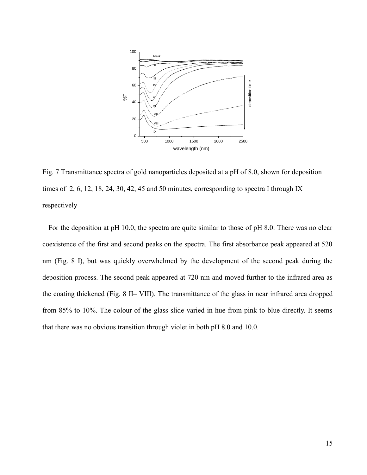

<span id="page-14-0"></span>Fig. 7 Transmittance spectra of gold nanoparticles deposited at a pH of 8.0, shown for deposition times of 2, 6, 12, 18, 24, 30, 42, 45 and 50 minutes, corresponding to spectra I through IX respectively

For the deposition at pH 10.0, the spectra are quite similar to those of pH 8.0. There was no clear coexistence of the first and second peaks on the spectra. The first absorbance peak appeared at 520 nm (Fig. 8 I), but was quickly overwhelmed by the development of the second peak during the deposition process. The second peak appeared at 720 nm and moved further to the infrared area as the coating thickened (Fig. 8 II– VIII). The transmittance of the glass in near infrared area dropped from 85% to 10%. The colour of the glass slide varied in hue from pink to blue directly. It seems that there was no obvious transition through violet in both pH 8.0 and 10.0.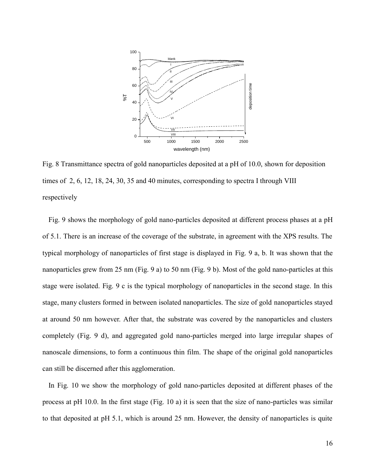

<span id="page-15-0"></span>Fig. 8 Transmittance spectra of gold nanoparticles deposited at a pH of 10.0, shown for deposition times of 2, 6, 12, 18, 24, 30, 35 and 40 minutes, corresponding to spectra I through VIII respectively

Fig. 9 shows the morphology of gold nano-particles deposited at different process phases at a pH of 5.1. There is an increase of the coverage of the substrate, in agreement with the XPS results. The typical morphology of nanoparticles of first stage is displayed in Fig. 9 a, b. It was shown that the nanoparticles grew from 25 nm (Fig. 9 a) to 50 nm (Fig. 9 b). Most of the gold nano-particles at this stage were isolated. Fig. 9 c is the typical morphology of nanoparticles in the second stage. In this stage, many clusters formed in between isolated nanoparticles. The size of gold nanoparticles stayed at around 50 nm however. After that, the substrate was covered by the nanoparticles and clusters completely (Fig. 9 d), and aggregated gold nano-particles merged into large irregular shapes of nanoscale dimensions, to form a continuous thin film. The shape of the original gold nanoparticles can still be discerned after this agglomeration.

In Fig. 10 we show the morphology of gold nano-particles deposited at different phases of the process at pH 10.0. In the first stage (Fig. 10 a) it is seen that the size of nano-particles was similar to that deposited at pH 5.1, which is around 25 nm. However, the density of nanoparticles is quite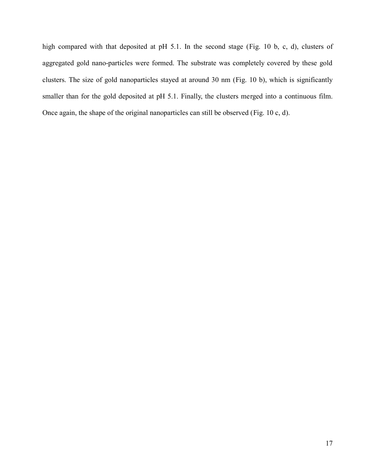high compared with that deposited at pH 5.1. In the second stage (Fig. 10 b, c, d), clusters of aggregated gold nano-particles were formed. The substrate was completely covered by these gold clusters. The size of gold nanoparticles stayed at around 30 nm (Fig. 10 b), which is significantly smaller than for the gold deposited at pH 5.1. Finally, the clusters merged into a continuous film. Once again, the shape of the original nanoparticles can still be observed (Fig. 10 c, d).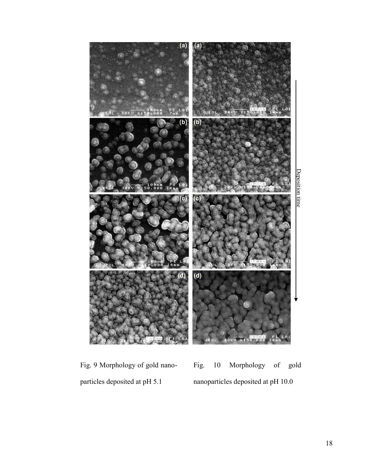

<span id="page-17-1"></span><span id="page-17-0"></span>Fig. 9 Morphology of gold nanoparticles deposited at pH 5.1 Fig. 10 Morphology of gold nanoparticles deposited at pH 10.0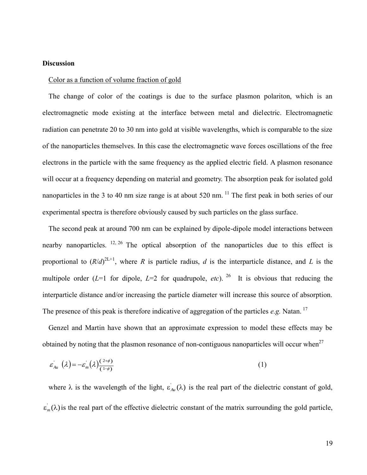#### **Discussion**

#### Color as a function of volume fraction of gold

The change of color of the coatings is due to the surface plasmon polariton, which is an electromagnetic mode existing at the interface between metal and dielectric. Electromagnetic radiation can penetrate 20 to 30 nm into gold at visible wavelengths, which is comparable to the size of the nanoparticles themselves. In this case the electromagnetic wave forces oscillations of the free electrons in the particle with the same frequency as the applied electric field. A plasmon resonance will occur at a frequency depending on material and geometry. The absorption peak for isolated gold nanoparticles in the 3 to 40 nm size range is at about 520 nm.<sup>[11](#page-5-0)</sup> The first peak in both series of our experimental spectra is therefore obviously caused by such particles on the glass surface.

<span id="page-18-0"></span>The second peak at around 700 nm can be explained by dipole-dipole model interactions between nearby nanoparticles.  $12, 26$  $12, 26$  The optical absorption of the nanoparticles due to this effect is proportional to  $(R/d)^{2L+1}$ , where *R* is particle radius, *d* is the interparticle distance, and *L* is the multipole order  $(L=1)$  for dipole,  $L=2$  for quadrupole, *etc*). <sup>[26](#page-18-0)</sup> It is obvious that reducing the interparticle distance and/or increasing the particle diameter will increase this source of absorption. The presence of this peak is therefore indicative of aggregation of the particles  $e.g.$  Natan.<sup>[17](#page-5-5)</sup>

Genzel and Martin have shown that an approximate expression to model these effects may be obtained by noting that the plasmon resonance of non-contiguous nanoparticles will occur when<sup>27</sup>

<span id="page-18-1"></span>
$$
\varepsilon_{\scriptscriptstyle{Au}}^{\scriptscriptstyle{-}}\left(\lambda\right) = -\varepsilon_{\scriptscriptstyle{m}}^{\scriptscriptstyle{-}}\left(\lambda\right) \frac{\left(\lambda^2 + \phi\right)}{\left(\lambda^2 + \phi\right)}\tag{1}
$$

where  $\lambda$  is the wavelength of the light,  $\varepsilon'_{Au}(\lambda)$  is the real part of the dielectric constant of gold,  $\varepsilon_m(\lambda)$  is the real part of the effective dielectric constant of the matrix surrounding the gold particle,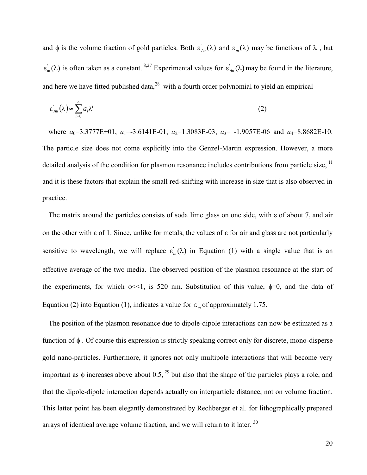and  $\phi$  is the volume fraction of gold particles. Both  $\varepsilon'_{Au}(\lambda)$  and  $\varepsilon'_m(\lambda)$  may be functions of  $\lambda$ , but  $\varepsilon_m(\lambda)$  is often taken as a constant. <sup>[8](#page-4-1)[,27](#page-18-1)</sup> Experimental values for  $\varepsilon_{Au}(\lambda)$  may be found in the literature, and here we have fitted published data, $^{28}$  with a fourth order polynomial to yield an empirical

$$
\varepsilon_{Au}^{'}(\lambda) \approx \sum_{i=0}^{4} a_i \lambda^i \tag{2}
$$

where  $a_0$ =3.3777E+01,  $a_1$ =-3.6141E-01,  $a_2$ =1.3083E-03,  $a_3$ = -1.9057E-06 and  $a_4$ =8.8682E-10. The particle size does not come explicitly into the Genzel-Martin expression. However, a more detailed analysis of the condition for plasmon resonance includes contributions from particle size, <sup>[11](#page-5-0)</sup> and it is these factors that explain the small red-shifting with increase in size that is also observed in practice.

The matrix around the particles consists of soda lime glass on one side, with  $\epsilon$  of about 7, and air on the other with  $\epsilon$  of 1. Since, unlike for metals, the values of  $\epsilon$  for air and glass are not particularly sensitive to wavelength, we will replace  $\varepsilon_m(\lambda)$  in Equation (1) with a single value that is an effective average of the two media. The observed position of the plasmon resonance at the start of the experiments, for which  $\phi \ll 1$ , is 520 nm. Substitution of this value,  $\phi = 0$ , and the data of Equation (2) into Equation (1), indicates a value for  $\varepsilon_m$  of approximately 1.75.

The position of the plasmon resonance due to dipole-dipole interactions can now be estimated as a function of  $\phi$ . Of course this expression is strictly speaking correct only for discrete, mono-disperse gold nano-particles. Furthermore, it ignores not only multipole interactions that will become very important as  $\phi$  increases above about 0.5, <sup>29</sup> but also that the shape of the particles plays a role, and that the dipole-dipole interaction depends actually on interparticle distance, not on volume fraction. This latter point has been elegantly demonstrated by Rechberger et al. for lithographically prepared arrays of identical average volume fraction, and we will return to it later.<sup>30</sup>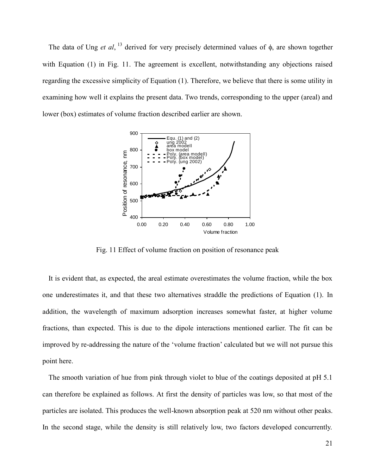The data of Ung *et al*, <sup>[13](#page-5-2)</sup> derived for very precisely determined values of  $\phi$ , are shown together with Equation (1) in Fig. 11. The agreement is excellent, notwithstanding any objections raised regarding the excessive simplicity of Equation (1). Therefore, we believe that there is some utility in examining how well it explains the present data. Two trends, corresponding to the upper (areal) and lower (box) estimates of volume fraction described earlier are shown.



Fig. 11 Effect of volume fraction on position of resonance peak

<span id="page-20-0"></span>It is evident that, as expected, the areal estimate overestimates the volume fraction, while the box one underestimates it, and that these two alternatives straddle the predictions of Equation (1). In addition, the wavelength of maximum adsorption increases somewhat faster, at higher volume fractions, than expected. This is due to the dipole interactions mentioned earlier. The fit can be improved by re-addressing the nature of the 'volume fraction' calculated but we will not pursue this point here.

The smooth variation of hue from pink through violet to blue of the coatings deposited at pH 5.1 can therefore be explained as follows. At first the density of particles was low, so that most of the particles are isolated. This produces the well-known absorption peak at 520 nm without other peaks. In the second stage, while the density is still relatively low, two factors developed concurrently.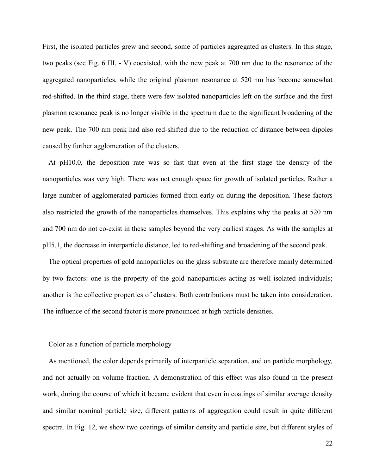First, the isolated particles grew and second, some of particles aggregated as clusters. In this stage, two peaks (see Fig. 6 III, - V) coexisted, with the new peak at 700 nm due to the resonance of the aggregated nanoparticles, while the original plasmon resonance at 520 nm has become somewhat red-shifted. In the third stage, there were few isolated nanoparticles left on the surface and the first plasmon resonance peak is no longer visible in the spectrum due to the significant broadening of the new peak. The 700 nm peak had also red-shifted due to the reduction of distance between dipoles caused by further agglomeration of the clusters.

At pH10.0, the deposition rate was so fast that even at the first stage the density of the nanoparticles was very high. There was not enough space for growth of isolated particles. Rather a large number of agglomerated particles formed from early on during the deposition. These factors also restricted the growth of the nanoparticles themselves. This explains why the peaks at 520 nm and 700 nm do not co-exist in these samples beyond the very earliest stages. As with the samples at pH5.1, the decrease in interparticle distance, led to red-shifting and broadening of the second peak.

The optical properties of gold nanoparticles on the glass substrate are therefore mainly determined by two factors: one is the property of the gold nanoparticles acting as well-isolated individuals; another is the collective properties of clusters. Both contributions must be taken into consideration. The influence of the second factor is more pronounced at high particle densities.

### Color as a function of particle morphology

As mentioned, the color depends primarily of interparticle separation, and on particle morphology, and not actually on volume fraction. A demonstration of this effect was also found in the present work, during the course of which it became evident that even in coatings of similar average density and similar nominal particle size, different patterns of aggregation could result in quite different spectra. In Fig. 12, we show two coatings of similar density and particle size, but different styles of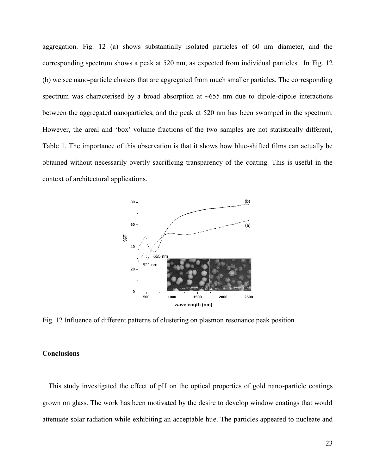aggregation. Fig. 12 (a) shows substantially isolated particles of 60 nm diameter, and the corresponding spectrum shows a peak at 520 nm, as expected from individual particles. In Fig. 12 (b) we see nano-particle clusters that are aggregated from much smaller particles. The corresponding spectrum was characterised by a broad absorption at  $\sim 655$  nm due to dipole-dipole interactions between the aggregated nanoparticles, and the peak at 520 nm has been swamped in the spectrum. However, the areal and 'box' volume fractions of the two samples are not statistically different, Table 1. The importance of this observation is that it shows how blue-shifted films can actually be obtained without necessarily overtly sacrificing transparency of the coating. This is useful in the context of architectural applications.



<span id="page-22-0"></span>Fig. 12 Influence of different patterns of clustering on plasmon resonance peak position

# **Conclusions**

This study investigated the effect of pH on the optical properties of gold nano-particle coatings grown on glass. The work has been motivated by the desire to develop window coatings that would attenuate solar radiation while exhibiting an acceptable hue. The particles appeared to nucleate and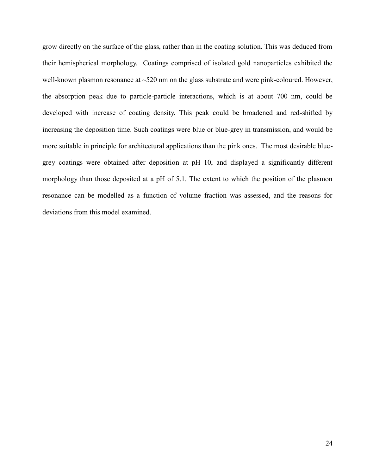grow directly on the surface of the glass, rather than in the coating solution. This was deduced from their hemispherical morphology. Coatings comprised of isolated gold nanoparticles exhibited the well-known plasmon resonance at ~520 nm on the glass substrate and were pink-coloured. However, the absorption peak due to particle-particle interactions, which is at about 700 nm, could be developed with increase of coating density. This peak could be broadened and red-shifted by increasing the deposition time. Such coatings were blue or blue-grey in transmission, and would be more suitable in principle for architectural applications than the pink ones. The most desirable bluegrey coatings were obtained after deposition at pH 10, and displayed a significantly different morphology than those deposited at a pH of 5.1. The extent to which the position of the plasmon resonance can be modelled as a function of volume fraction was assessed, and the reasons for deviations from this model examined.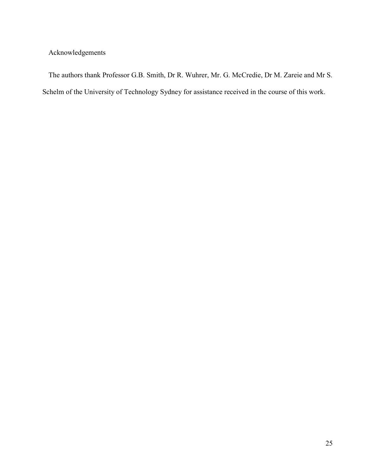Acknowledgements

The authors thank Professor G.B. Smith, Dr R. Wuhrer, Mr. G. McCredie, Dr M. Zareie and Mr S. Schelm of the University of Technology Sydney for assistance received in the course of this work.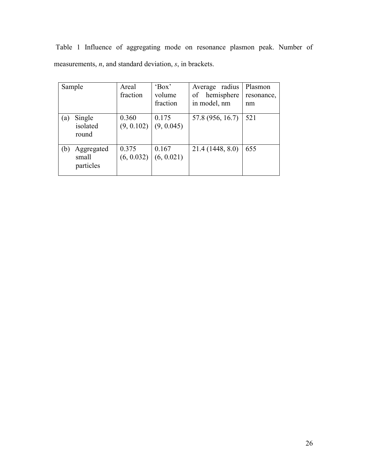|                                                                |  |  |  | Table 1 Influence of aggregating mode on resonance plasmon peak. Number of |  |  |  |  |  |  |  |
|----------------------------------------------------------------|--|--|--|----------------------------------------------------------------------------|--|--|--|--|--|--|--|
| measurements, $n$ , and standard deviation, $s$ , in brackets. |  |  |  |                                                                            |  |  |  |  |  |  |  |

| Sample                                  | Areal<br>fraction   | 'Box'<br>volume<br>fraction | Average radius<br>hemisphere<br>of<br>in model, nm | Plasmon<br>resonance,<br>nm |
|-----------------------------------------|---------------------|-----------------------------|----------------------------------------------------|-----------------------------|
| Single<br>(a)<br>isolated<br>round      | 0.360<br>(9, 0.102) | 0.175<br>(9, 0.045)         | 57.8 (956, 16.7)                                   | 521                         |
| Aggregated<br>(b)<br>small<br>particles | 0.375<br>(6, 0.032) | 0.167<br>(6, 0.021)         | 21.4 (1448, 8.0)                                   | 655                         |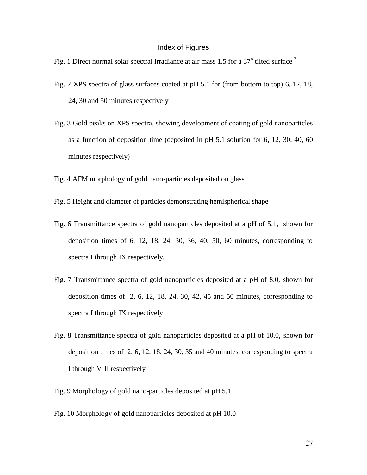# Index of Figures

- [Fig. 1 Direct normal solar spectral irradiance at air mass 1.5 for a 37](#page-3-1) $^{\circ}$  tilted surface  $^{2}$
- Fig. 2 XPS spectra of glass surfaces [coated at pH 5.1 for \(from bottom to top\)](#page-10-0) 6, 12, 18, [24, 30 and 50 minutes respectively](#page-10-0)
- Fig. 3 [Gold peaks on XPS spectra, showing development](#page-11-0) of coating of gold nanoparticles as a function of deposition [time \(deposited in pH 5.1 solution for](#page-11-0) 6, 12, 30, 40, 60 [minutes respectively\)](#page-11-0)
- [Fig. 4 AFM morphology of gold nano-particles deposited on glass](#page-11-1)
- [Fig. 5 Height and diameter of particles demonstrating hemispherical shape](#page-12-0)
- Fig. 6 Transmittance spectra of gold [nanoparticles deposited at a pH of](#page-13-0) 5.1, shown for [deposition times of 6, 12, 18, 24, 30, 36, 40, 50, 60 minutes, corresponding to](#page-13-0)  [spectra I through IX respectively.](#page-13-0)
- Fig. 7 Transmittance [spectra of gold nanoparticles deposited at a pH of 8.0, shown for](#page-14-0)  [deposition times of 2, 6, 12, 18, 24, 30, 42, 45 and 50 minutes, corresponding to](#page-14-0)  [spectra I through IX respectively](#page-14-0)
- [Fig. 8 Transmittance spectra of gold nanoparticles deposited at a pH of 10.0, shown for](#page-15-0)  [deposition times of 2, 6, 12, 18, 24, 30, 35 and 40 minutes, corresponding to spectra](#page-15-0)  [I through VIII respectively](#page-15-0)
- [Fig. 9 Morphology of gold nano-particles deposited at pH 5.1](#page-17-0)
- [Fig. 10 Morphology of gold nanoparticles deposited at pH 10.0](#page-17-1)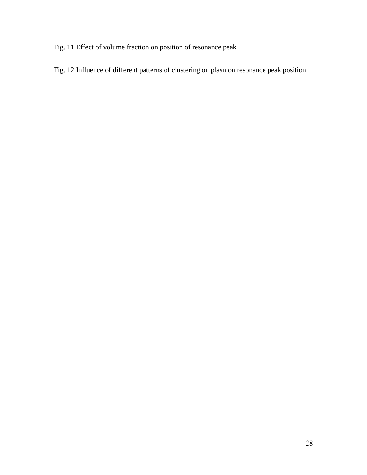[Fig. 11 Effect of volume fraction on position of resonance peak](#page-20-0)

[Fig. 12 Influence of different patterns of clustering on plasmon resonance peak position](#page-22-0)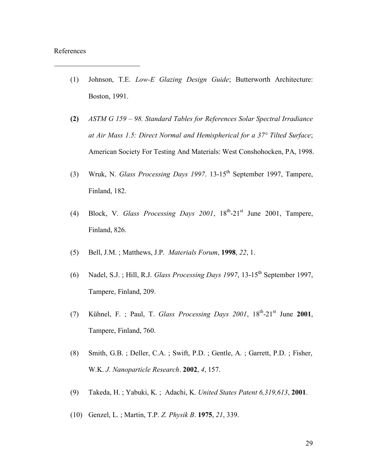#### References

- (1) Johnson, T.E. *Low-E Glazing Design Guide*; Butterworth Architecture: Boston, 1991.
- **(2)** *ASTM G 159 – 98. Standard Tables for References Solar Spectral Irradiance at Air Mass 1.5: Direct Normal and Hemispherical for a 37° Tilted Surface*; American Society For Testing And Materials: West Conshohocken, PA, 1998.
- (3) Wruk, N. *Glass Processing Days 1997*. 13-15th September 1997, Tampere, Finland, 182.
- (4) Block, V. *Glass Processing Days 2001*,  $18^{th}$ - $21^{st}$  June 2001, Tampere, Finland, 826.
- (5) Bell, J.M. ; Matthews, J.P. *Materials Forum*, **1998**, *22*, 1.
- (6) Nadel, S.J. ; Hill, R.J. *Glass Processing Days 1997*, 13-15th September 1997, Tampere, Finland, 209.
- (7) Kühnel, F. ; Paul, T. *Glass Processing Days 2001*, 18th -21st June **2001**, Tampere, Finland, 760.
- (8) Smith, G.B. ; Deller, C.A. ; Swift, P.D. ; Gentle, A. ; Garrett, P.D. ; Fisher, W.K. *J. Nanoparticle Research*. **2002**, *4*, 157.
- (9) Takeda, H. ; Yabuki, K. ; Adachi, K. *United States Patent 6,319,613*, **2001**.
- (10) Genzel, L. ; Martin, T.P. *Z. Physik B*. **1975**, *21*, 339.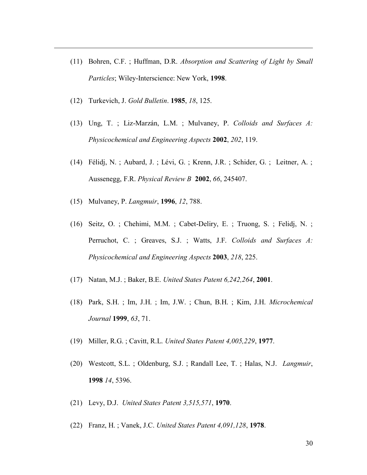- (11) Bohren, C.F. ; Huffman, D.R. *Absorption and Scattering of Light by Small Particles*; Wiley-Interscience: New York, **1998**.
- (12) Turkevich, J. *Gold Bulletin*. **1985**, *18*, 125.

- (13) Ung, T. ; Liz-Marzán, L.M. ; Mulvaney, P. *Colloids and Surfaces A: Physicochemical and Engineering Aspects* **2002**, *202*, 119.
- (14) Félidj, N. ; Aubard, J. ; Lévi, G. ; Krenn, J.R. ; Schider, G. ; Leitner, A. ; Aussenegg, F.R. *Physical Review B* **2002**, *66*, 245407.
- (15) Mulvaney, P. *Langmuir*, **1996**, *12*, 788.
- (16) Seitz, O. ; Chehimi, M.M. ; Cabet-Deliry, E. ; Truong, S. ; Felidj, N. ; Perruchot, C. ; Greaves, S.J. ; Watts, J.F. *Colloids and Surfaces A: Physicochemical and Engineering Aspects* **2003**, *218*, 225.
- (17) Natan, M.J. ; Baker, B.E. *United States Patent 6,242,264*, **2001**.
- (18) Park, S.H. ; Im, J.H. ; Im, J.W. ; Chun, B.H. ; Kim, J.H. *Microchemical Journal* **1999**, *63*, 71.
- (19) Miller, R.G. ; Cavitt, R.L. *United States Patent 4,005,229*, **1977**.
- (20) Westcott, S.L. ; Oldenburg, S.J. ; Randall Lee, T. ; Halas, N.J. *Langmuir*, **1998** *14*, 5396.
- (21) Levy, D.J. *United States Patent 3,515,571*, **1970**.
- (22) Franz, H. ; Vanek, J.C. *United States Patent 4,091,128*, **1978**.